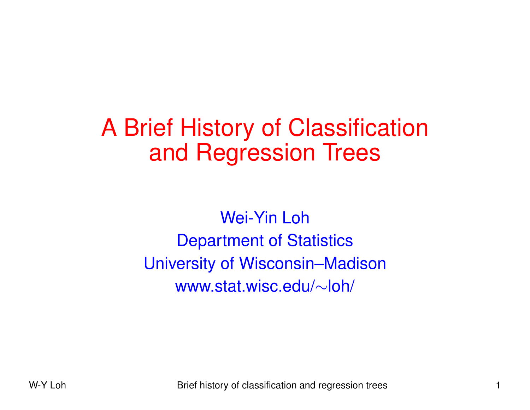# A Brief History of Classification and Regression Trees

Wei-Yin Loh Department of Statistics University of Wisconsin–Madison www.stat.wisc.edu/ <sup>∼</sup>loh/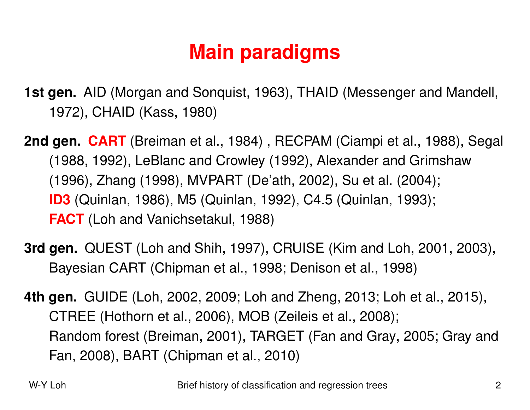## **Main paradigms**

- **1st gen.** AID (Morgan and Sonquist, 1963), THAID (Messenger and Mandell, 1972), CHAID (Kass, 1980)
- **2nd gen. CART** (Breiman et al., 1984) , RECPAM (Ciampi et al., 1988), Segal (1988, 1992), LeBlanc and Crowley (1992), Alexander and Grimshaw (1996), Zhang (1998), MVPART (De'ath, 2002), Su et al. (2004); **ID3** (Quinlan, 1986), M5 (Quinlan, 1992), C4.5 (Quinlan, 1993); **FACT** (Loh and Vanichsetakul, 1988)
- **3rd gen.** QUEST (Loh and Shih, 1997), CRUISE (Kim and Loh, 2001, 2003), Bayesian CART (Chipman et al., 1998; Denison et al., 1998)
- **4th gen.** GUIDE (Loh, 2002, 2009; Loh and Zheng, 2013; Loh et al., 2015), CTREE (Hothorn et al., 2006), MOB (Zeileis et al., 2008); Random forest (Breiman, 2001), TARGET (Fan and Gray, 2005; Gray and Fan, 2008), BART (Chipman et al., 2010)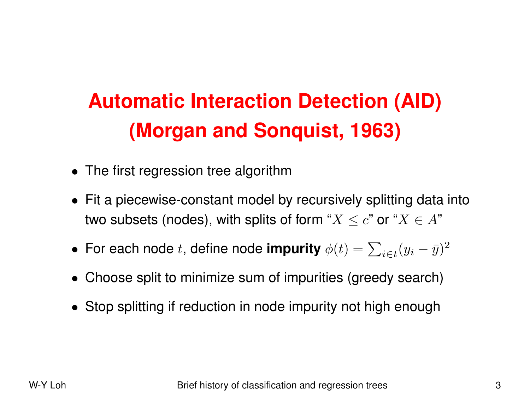# **Automatic Interaction Detection (AID) (Morgan and Sonquist, 1963)**

- The first regression tree algorithm
- Fit a piecewise-constant model by recursively splitting data into two subsets (nodes), with splits of form " $X\leq c$ " or " $X\in A$ "
- For each node t, define node **impurity**  $\phi(t) = \sum_{i \in t} (y_i \bar{y})^2$
- Choose split to minimize sum of impurities (greedy search)
- Stop splitting if reduction in node impurity not high enough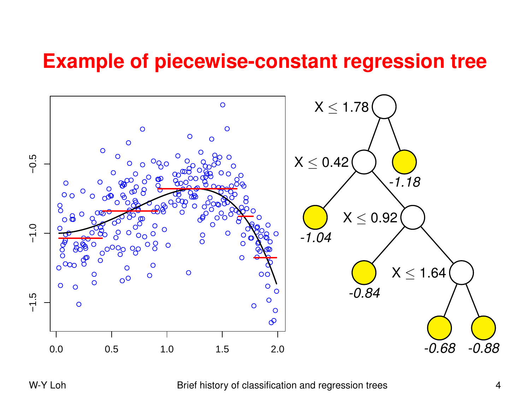### **Example of piecewise-constant regression tree**



W-Y Loh Brief history of classification and regression trees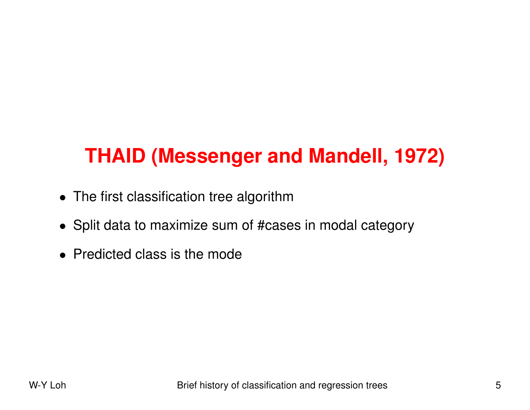## **THAID (Messenger and Mandell, 1972)**

- The first classification tree algorithm
- Split data to maximize sum of #cases in modal category
- Predicted class is the mode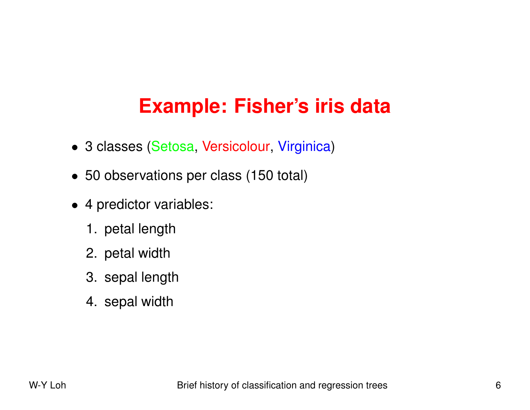## **Example: Fisher's iris data**

- 3 classes (Setosa, Versicolour, Virginica )
- 50 observations per class (150 total)
- 4 predictor variables:
	- 1. petal length
	- 2. petal width
	- 3. sepal length
	- 4. sepal width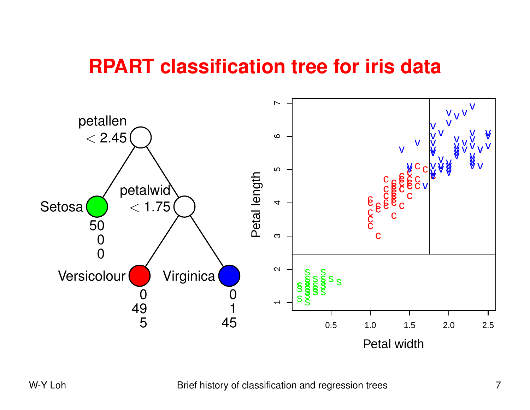### **RPART classification tree for iris data**

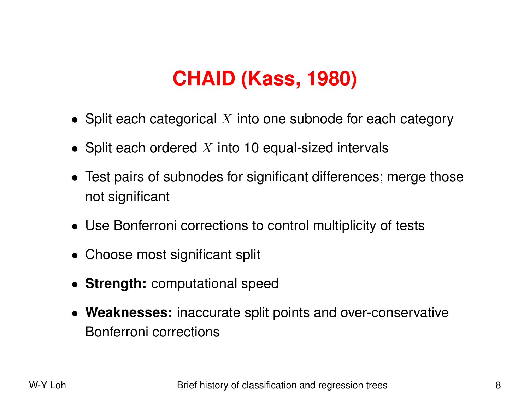## **CHAID (Kass, 1980)**

- Split each categorical  $X$  into one subnode for each category
- Split each ordered  $X$  into 10 equal-sized intervals
- Test pairs of subnodes for significant differences; merge those not significant
- Use Bonferroni corrections to control multiplicity of tests
- Choose most significant split
- **Strength:** computational speed
- **Weaknesses:** inaccurate split points and over-conservative Bonferroni corrections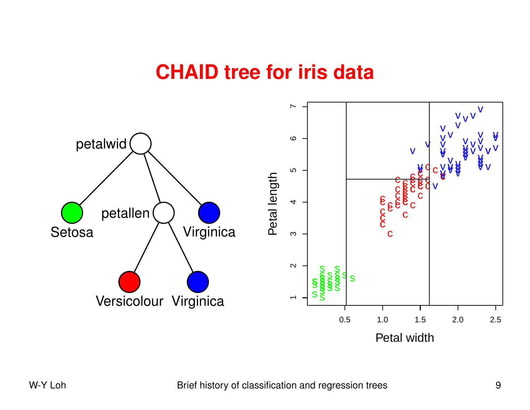### **CHAID tree for iris data**

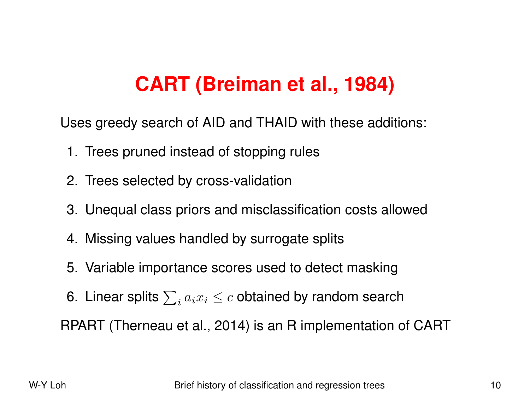## **CART (Breiman et al., 1984)**

Uses greedy search of AID and THAID with these additions:

- 1. Trees pruned instead of stopping rules
- 2. Trees selected by cross-validation
- 3. Unequal class priors and misclassification costs allowed
- 4. Missing values handled by surrogate splits
- 5. Variable importance scores used to detect masking
- 6. Linear splits  $\sum_i a_i x_i \leq c$  obtained by random search

RPART (Therneau et al., 2014) is an R implementation of CART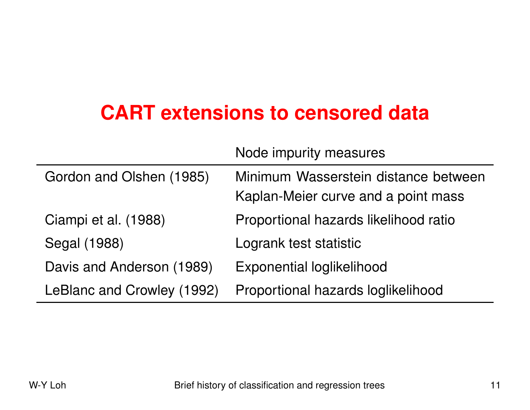## **CART extensions to censored data**

|                            | Node impurity measures                                                      |
|----------------------------|-----------------------------------------------------------------------------|
| Gordon and Olshen (1985)   | Minimum Wasserstein distance between<br>Kaplan-Meier curve and a point mass |
| Ciampi et al. (1988)       | Proportional hazards likelihood ratio                                       |
| Segal (1988)               | Logrank test statistic                                                      |
| Davis and Anderson (1989)  | <b>Exponential loglikelihood</b>                                            |
| LeBlanc and Crowley (1992) | Proportional hazards loglikelihood                                          |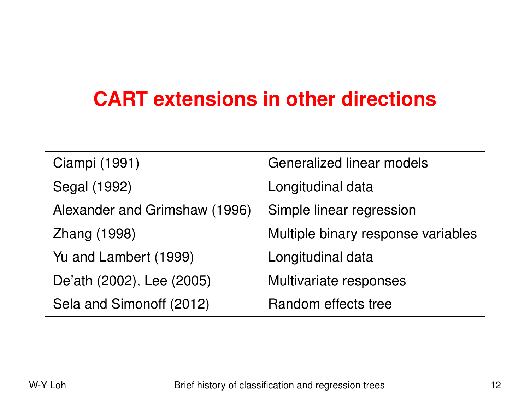### **CART extensions in other directions**

| Ciampi (1991)                 | <b>Generalized linear models</b>   |
|-------------------------------|------------------------------------|
| Segal (1992)                  | Longitudinal data                  |
| Alexander and Grimshaw (1996) | Simple linear regression           |
| Zhang (1998)                  | Multiple binary response variables |
| Yu and Lambert (1999)         | Longitudinal data                  |
| De'ath (2002), Lee (2005)     | Multivariate responses             |
| Sela and Simonoff (2012)      | Random effects tree                |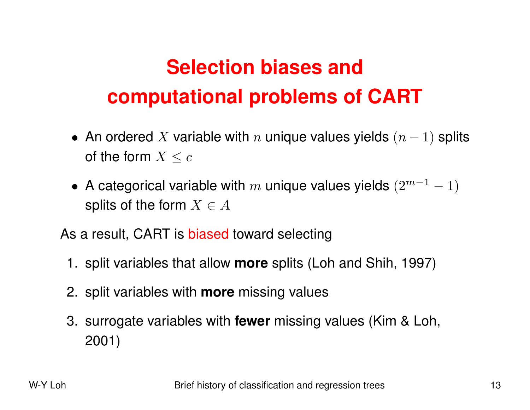# **Selection biases and computational problems of CART**

- An ordered  $X$  variable with  $n$  unique values yields  $(n-1)$  splits of the form  $X\leq c$
- A categorical variable with  $m$  unique values yields  $(2^{m-1}-1)$ splits of the form  $X\in A$

As <sup>a</sup> result, CART is biased toward selecting

- 1. split variables that allow **more** splits (Loh and Shih, 1997)
- 2. split variables with **more** missing values
- 3. surrogate variables with **fewer** missing values (Kim & Loh, 2001)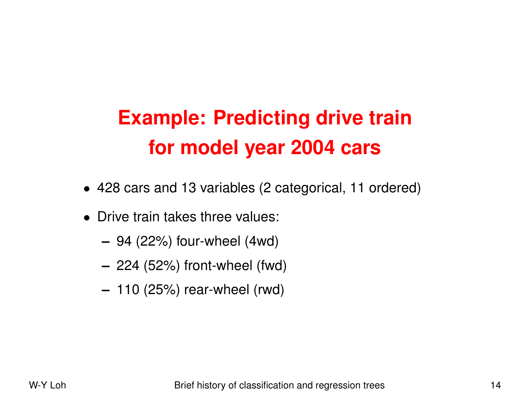# **Example: Predicting drive train for model year 2004 cars**

- 428 cars and 13 variables (2 categorical, 11 ordered)
- Drive train takes three values:
	- **–** 94 (22%) four-wheel (4wd)
	- **–** 224 (52%) front-wheel (fwd)
	- **–** 110 (25%) rear-wheel (rwd)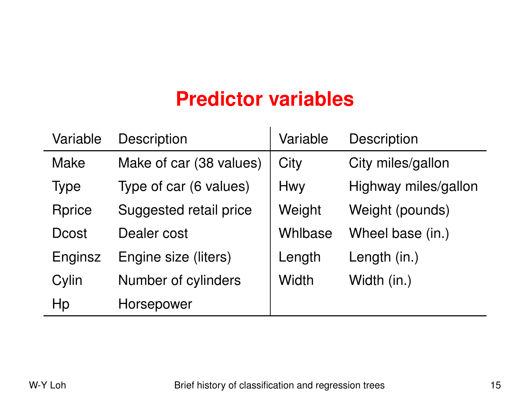### **Predictor variables**

| Variable      | <b>Description</b>      | Variable     | Description          |
|---------------|-------------------------|--------------|----------------------|
| <b>Make</b>   | Make of car (38 values) | City         | City miles/gallon    |
| <b>Type</b>   | Type of car (6 values)  | <b>Hwy</b>   | Highway miles/gallon |
| <b>Rprice</b> | Suggested retail price  | Weight       | Weight (pounds)      |
| <b>Dcost</b>  | Dealer cost             | Whlbase      | Wheel base (in.)     |
| Enginsz       | Engine size (liters)    | Length       | Length (in.)         |
| Cylin         | Number of cylinders     | <b>Width</b> | Width (in.)          |
| Hp            | Horsepower              |              |                      |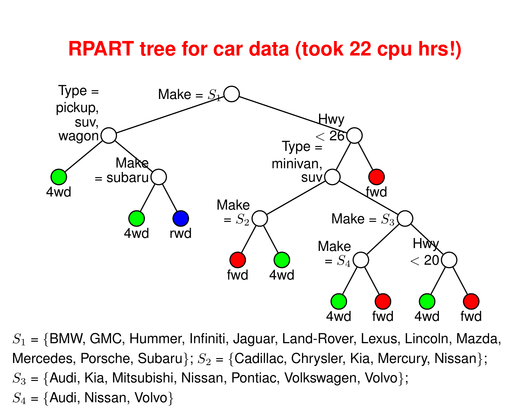### **RPART tree for car data (took 22 cpu hrs!)**



 $S_1$  = {BMW, GMC, Hummer, Infiniti, Jaguar, Land-Rover, Lexus, Lincoln, Mazda, Mercedes, Porsche, Subaru};  $S_2$  = {Cadillac, Chrysler, Kia, Mercury, Nissan};  $S_3$  = {Audi, Kia, Mitsubishi, Nissan, Pontiac, Volkswagen, Volvo};  $S_4 = \{\mathsf{A}$ udi, Nissan, Volvo $\}$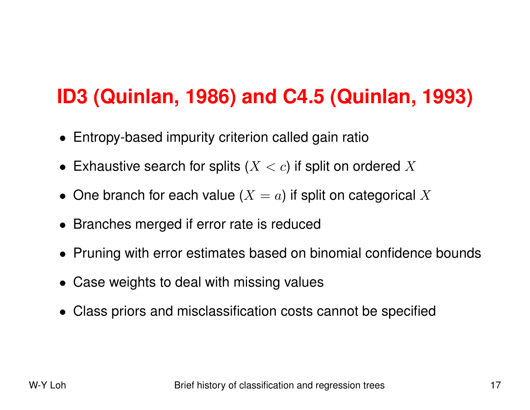## **ID3 (Quinlan, 1986) and C4.5 (Quinlan, 1993)**

- Entropy-based impurity criterion called gain ratio
- Exhaustive search for splits  $(X < c)$  if split on ordered  $X$
- One branch for each value  $(X = a)$  if split on categorical  $X$
- Branches merged if error rate is reduced
- Pruning with error estimates based on binomial confidence bounds
- Case weights to deal with missing values
- Class priors and misclassification costs cannot be specified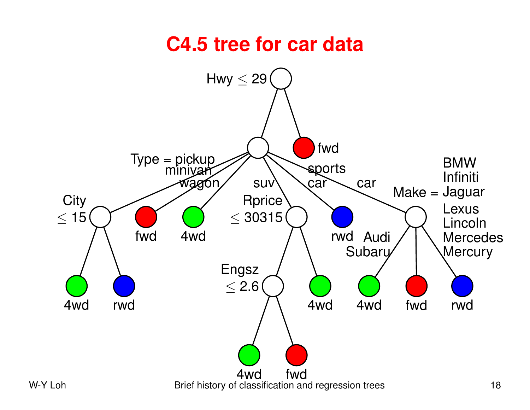### **C4.5 tree for car data**

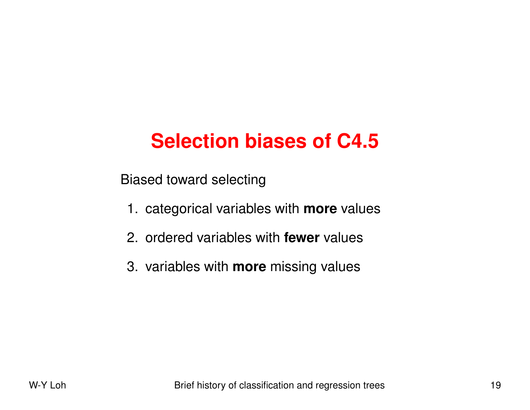## **Selection biases of C4.5**

Biased toward selecting

- 1. categorical variables with **more** values
- 2. ordered variables with **fewer** values
- 3. variables with **more** missing values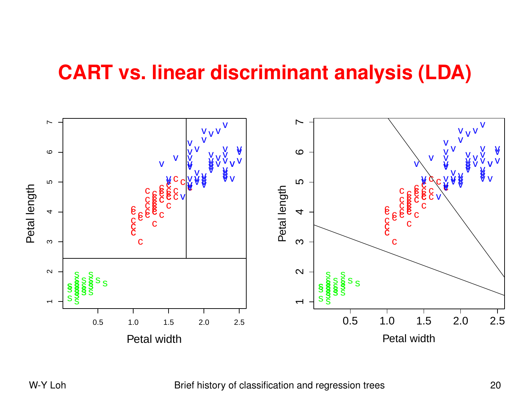### **CART vs. linear discriminant analysis (LDA)**



W-Y Loh Brief history of classification and regression trees 20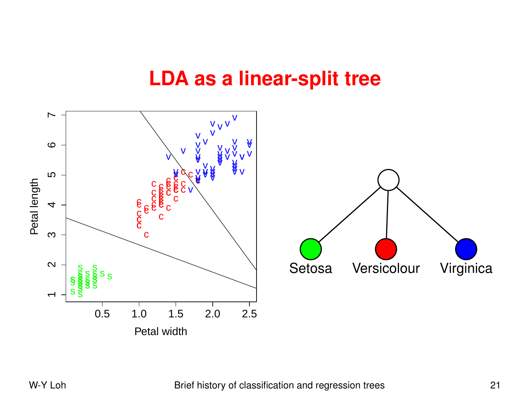### **LDA as <sup>a</sup> linear-split tree**

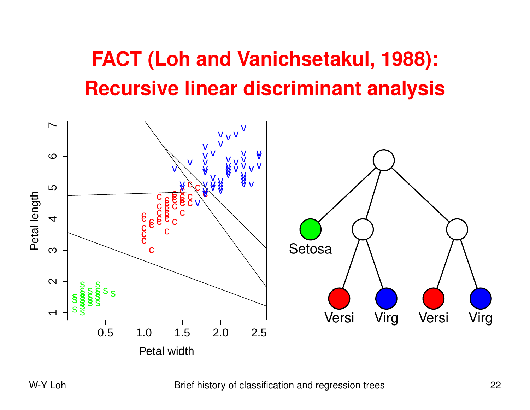# **FACT (Loh and Vanichsetakul, 1988): Recursive linear discriminant analysis**



#### W-Y Loh Brief history of classification and regression trees 22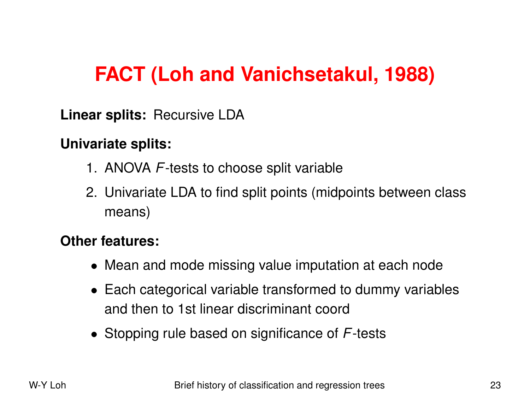## **FACT (Loh and Vanichsetakul, 1988)**

**Linear splits:** Recursive LDA

#### **Univariate splits:**

- 1. ANOVA *F*-tests to choose split variable
- 2. Univariate LDA to find split points (midpoints between class means)

#### **Other features:**

- Mean and mode missing value imputation at each node
- Each categorical variable transformed to dummy variables and then to 1st linear discriminant coord
- Stopping rule based on significance of *F*-tests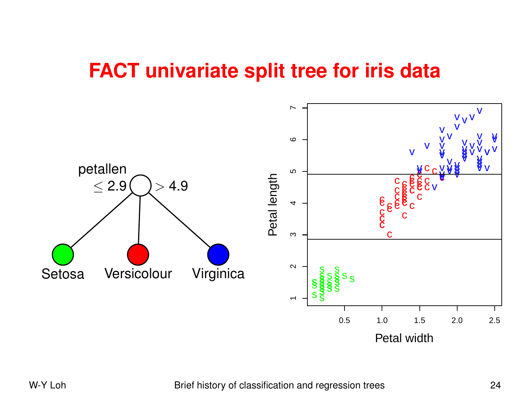### **FACT univariate split tree for iris data**

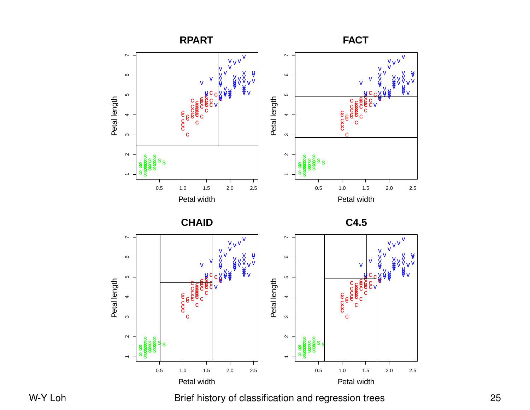

W-Y Loh Brief history of classification and regression trees 25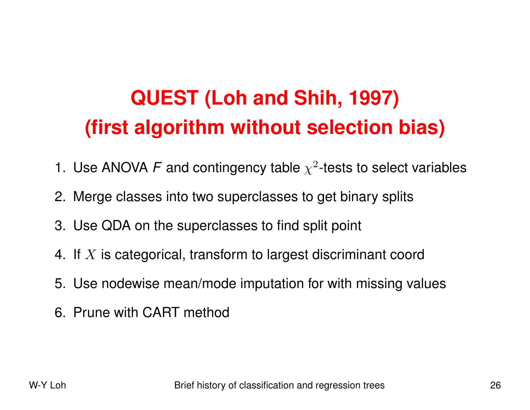# **QUEST (Loh and Shih, 1997) (first algorithm without selection bias)**

- 1. Use ANOVA F and contingency table  $\chi^2$ -tests to select variables
- 2. Merge classes into two superclasses to get binary splits
- 3. Use QDA on the superclasses to find split point
- 4. If  $X$  is categorical, transform to largest discriminant coord
- 5. Use nodewise mean/mode imputation for with missing value s
- 6. Prune with CART method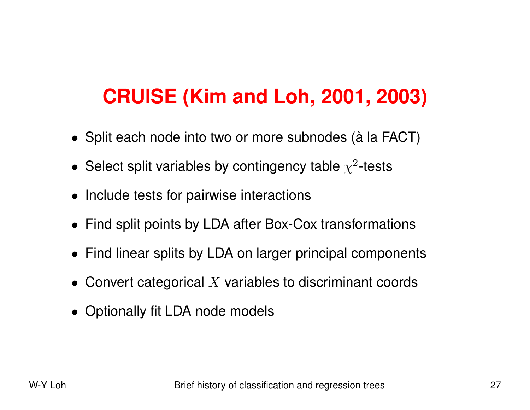## **CRUISE (Kim and Loh, 2001, 2003)**

- Split each node into two or more subnodes (à la FACT)
- Select split variables by contingency table  $\chi^2$ -tests
- Include tests for pairwise interactions
- Find split points by LDA after Box-Cox transformations
- Find linear splits by LDA on larger principal components
- Convert categorical  $X$  variables to discriminant coords
- Optionally fit LDA node models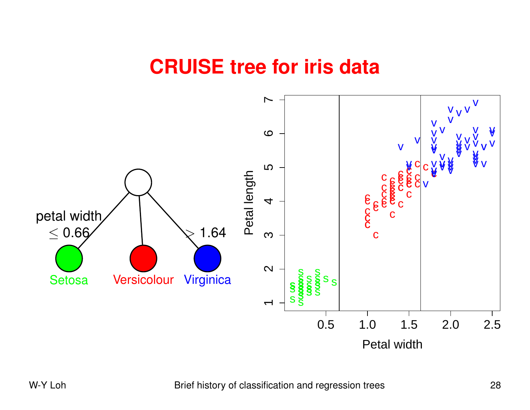### **CRUISE tree for iris data**

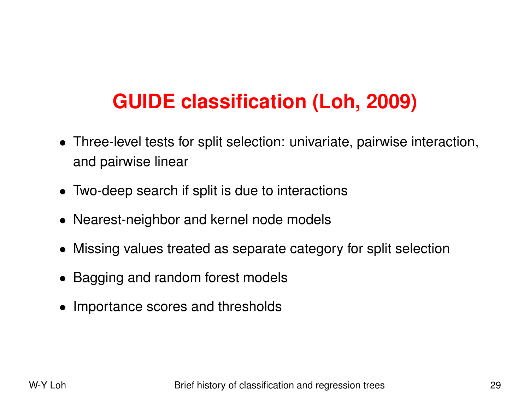## **GUIDE classification (Loh, 2009)**

- Three-level tests for split selection: univariate, pairwise interaction, and pairwise linear
- Two-deep search if split is due to interactions
- Nearest-neighbor and kernel node models
- Missing values treated as separate category for split selection
- Bagging and random forest models
- Importance scores and thresholds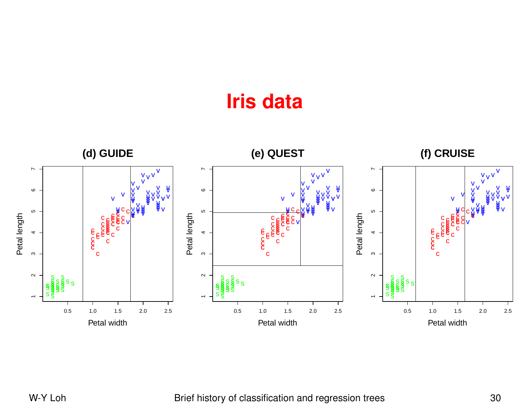### **Iris data**



#### W-Y Loh Brief history of classification and regression trees 30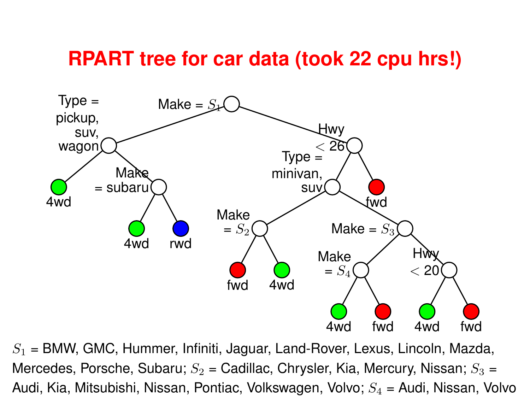### **RPART tree for car data (took 22 cpu hrs!)**



 $S_1$  = BMW, GMC, Hummer, Infiniti, Jaguar, Land-Rover, Lexus, Lincoln, Mazda, Mercedes, Porsche, Subaru;  $S_2$  = Cadillac, Chrysler, Kia, Mercury, Nissan;  $S_3$  = Audi, Kia, Mitsubishi, Nissan, Pontiac, Volkswagen, Volvo;  $S_4$  = Audi, Nissan, Volvo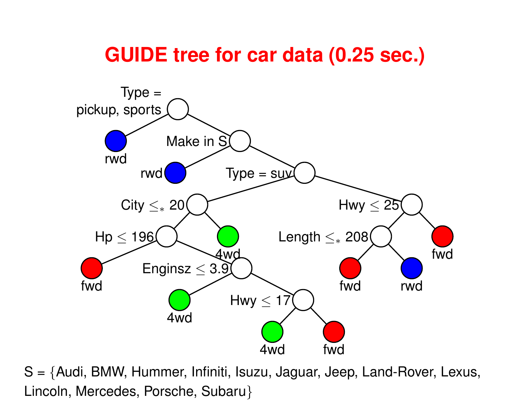### **GUIDE tree for car data (0.25 sec.)**



S <sup>=</sup> {Audi, BMW, Hummer, Infiniti, Isuzu, Jaguar, Jeep, Land-Rover, Lexus, Lincoln, Mercedes, Porsche, Subaru }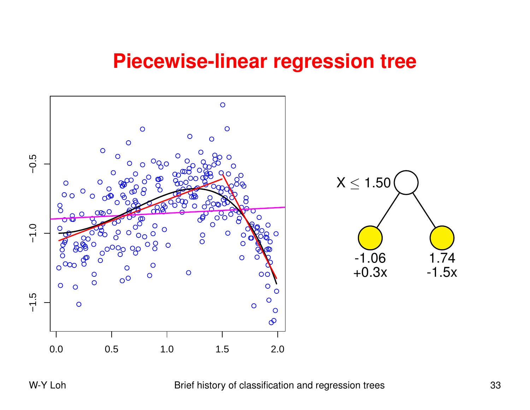### **Piecewise-linear regression tree**

![](_page_32_Figure_1.jpeg)

W-Y Loh Brief history of classification and regression trees 33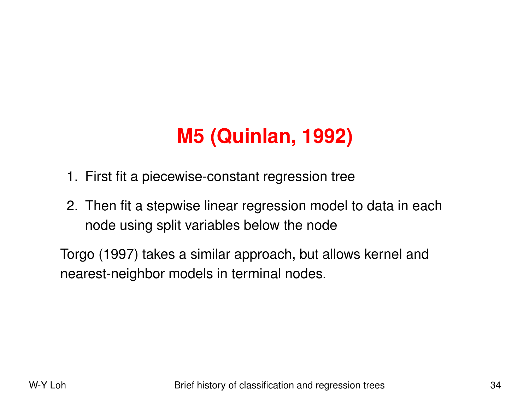# **M5 (Quinlan, 1992)**

- 1. First fit <sup>a</sup> piecewise-constant regression tree
- 2. Then fit <sup>a</sup> stepwise linear regression model to data in each node using split variables below the node

Torgo (1997) takes <sup>a</sup> similar approach, but allows kernel and nearest-neighbor models in terminal nodes.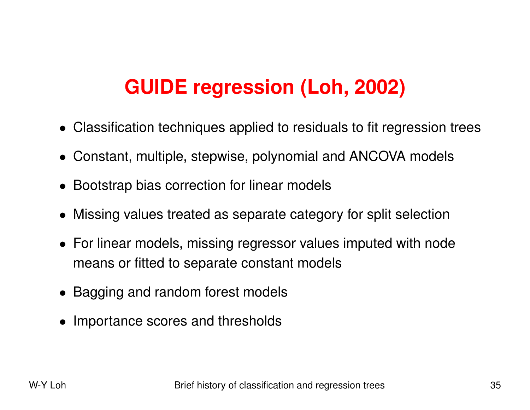## **GUIDE regression (Loh, 2002)**

- Classification techniques applied to residuals to fit regression trees
- Constant, multiple, stepwise, polynomial and ANCOVA model s
- Bootstrap bias correction for linear models
- Missing values treated as separate category for split selection
- For linear models, missing regressor values imputed with node means or fitted to separate constant models
- Bagging and random forest models
- Importance scores and thresholds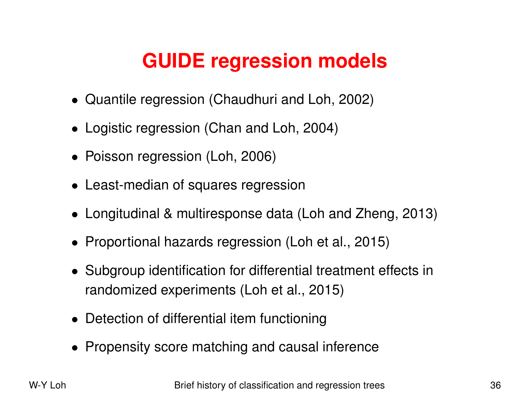## **GUIDE regression models**

- Quantile regression (Chaudhuri and Loh, 2002)
- Logistic regression (Chan and Loh, 2004)
- Poisson regression (Loh, 2006)
- Least-median of squares regression
- Longitudinal & multiresponse data (Loh and Zheng, 2013)
- Proportional hazards regression (Loh et al., 2015)
- Subgroup identification for differential treatment effects in randomized experiments (Loh et al., 2015)
- Detection of differential item functioning
- Propensity score matching and causal inference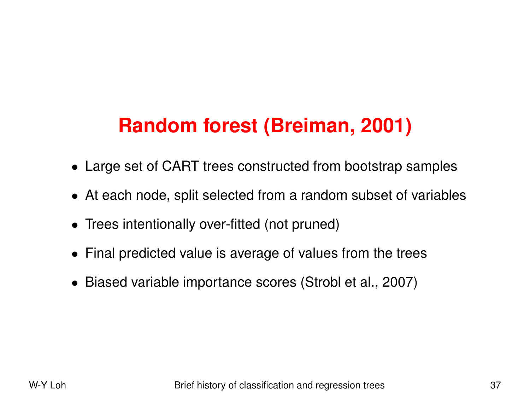# **Random forest (Breiman, 2001)**

- Large set of CART trees constructed from bootstrap samples
- At each node, split selected from <sup>a</sup> random subset of variable s
- Trees intentionally over-fitted (not pruned)
- Final predicted value is average of values from the trees
- Biased variable importance scores (Strobl et al., 2007)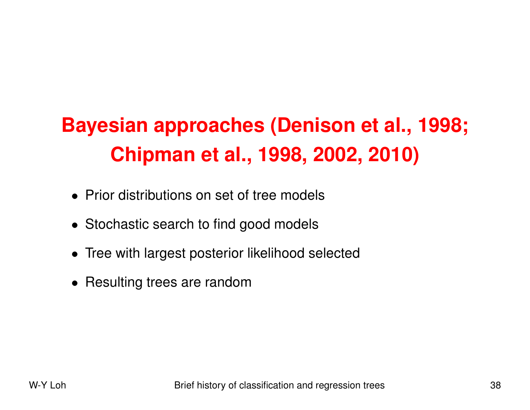# **Bayesian approaches (Denison et al., 1998; Chipman et al., 1998, 2002, 2010)**

- Prior distributions on set of tree models
- Stochastic search to find good models
- Tree with largest posterior likelihood selected
- Resulting trees are random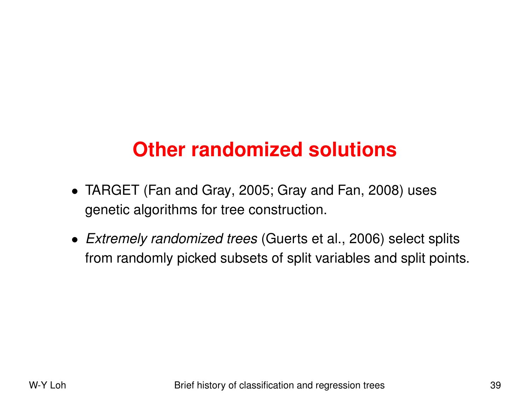## **Other randomized solutions**

- TARGET (Fan and Gray, 2005; Gray and Fan, 2008) uses genetic algorithms for tree construction.
- *Extremely randomized trees* (Guerts et al., 2006) select splits from randomly picked subsets of split variables and split points.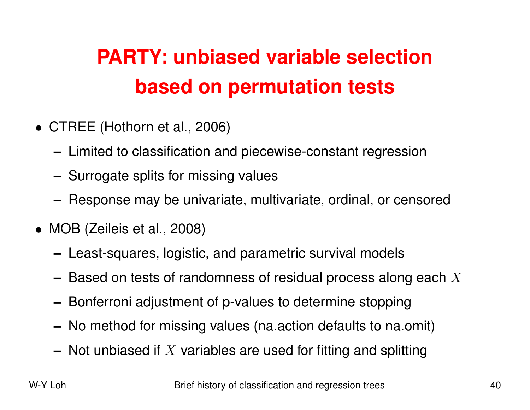# **PARTY: unbiased variable selection based on permutation tests**

- CTREE (Hothorn et al., 2006)
	- **–** Limited to classification and piecewise-constant regression
	- **–** Surrogate splits for missing values
	- **–** Response may be univariate, multivariate, ordinal, or censored
- MOB (Zeileis et al., 2008)
	- **–** Least-squares, logistic, and parametric survival models
	- $-$  Based on tests of randomness of residual process along each  $X$
	- **–** Bonferroni adjustment of p-values to determine stopping
	- **–** No method for missing values (na.action defaults to na.omit )
	- **–** Not unbiased if <sup>X</sup> variables are used for fitting and splitting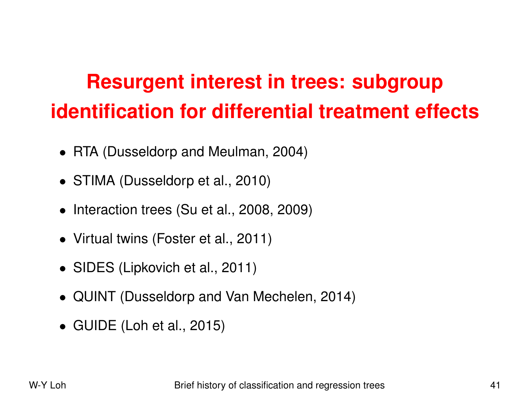# **Resurgent interest in trees: subgroup identification for differential treatment effects**

- RTA (Dusseldorp and Meulman, 2004)
- STIMA (Dusseldorp et al., 2010)
- Interaction trees (Su et al., 2008, 2009)
- Virtual twins (Foster et al., 2011)
- SIDES (Lipkovich et al., 2011)
- QUINT (Dusseldorp and Van Mechelen, 2014)
- GUIDE (Loh et al., 2015)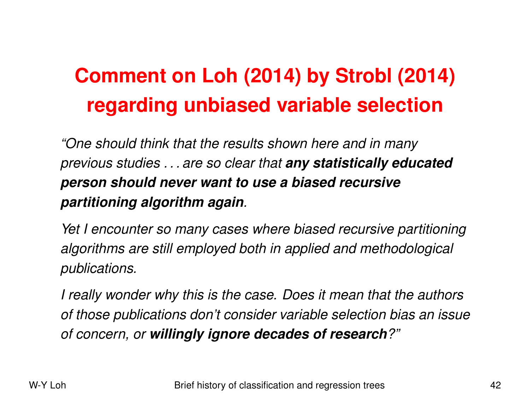# **Comment on Loh (2014) by Strobl (2014) regarding unbiased variable selection**

*"One should think that the results shown here and in many previous studies . . . are so clear that any statistically educated person should never want to use <sup>a</sup> biased recursive partitioning algorithm again.*

*Yet I encounter so many cases where biased recursive partitioning algorithms are still employed both in applied and methodological publications.*

I really wonder why this is the case. Does it mean that the authors *of those publications don't consider variable selection bias an issue of concern, or willingly ignore decades of research?"*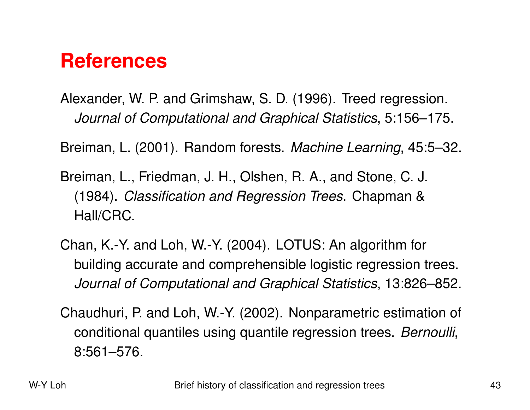### **References**

Alexander, W. P. and Grimshaw, S. D. (1996). Treed regression. *Journal of Computational and Graphical Statistics*, 5:156–175.

Breiman, L. (2001). Random forests. *Machine Learning*, 45:5–32.

Breiman, L., Friedman, J. H., Olshen, R. A., and Stone, C. J. (1984). *Classification and Regression Trees*. Chapman & Hall/CRC.

Chan, K.-Y. and Loh, W.-Y. (2004). LOTUS: An algorithm for building accurate and comprehensible logistic regression trees. *Journal of Computational and Graphical Statistics*, 13:826–852.

Chaudhuri, P. and Loh, W.-Y. (2002). Nonparametric estimation of conditional quantiles using quantile regression trees. *Bernoulli*, 8:561–576.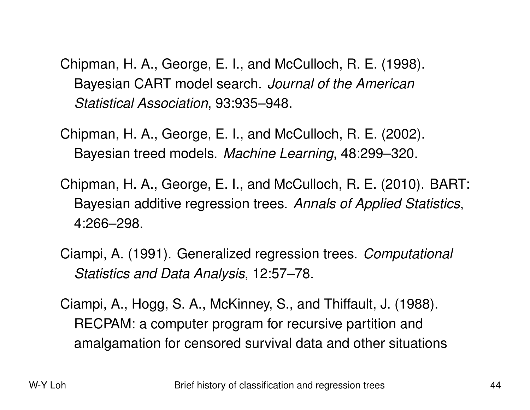Chipman, H. A., George, E. I., and McCulloch, R. E. (1998). Bayesian CART model search. *Journal of the American Statistical Association*, 93:935–948.

Chipman, H. A., George, E. I., and McCulloch, R. E. (2002). Bayesian treed models. *Machine Learning*, 48:299–320.

Chipman, H. A., George, E. I., and McCulloch, R. E. (2010). BART: Bayesian additive regression trees. *Annals of Applied Statistics*, 4:266–298.

- Ciampi, A. (1991). Generalized regression trees. *Computational Statistics and Data Analysis*, 12:57–78.
- Ciampi, A., Hogg, S. A., McKinney, S., and Thiffault, J. (1988). RECPAM: <sup>a</sup> computer program for recursive partition and amalgamation for censored survival data and other situations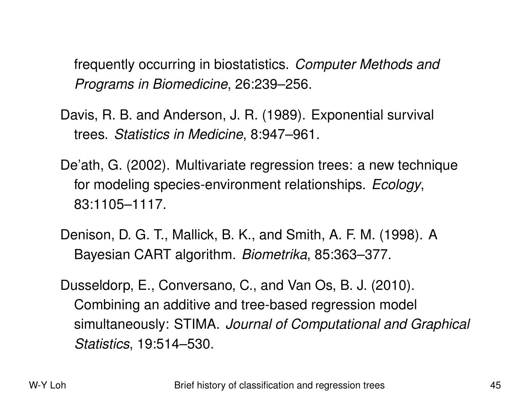frequently occurring in biostatistics. *Computer Methods and Programs in Biomedicine*, 26:239–256.

- Davis, R. B. and Anderson, J. R. (1989). Exponential survival trees. *Statistics in Medicine*, 8:947–961.
- De'ath, G. (2002). Multivariate regression trees: <sup>a</sup> new technique for modeling species-environment relationships. *Ecology*, 83:1105–1117.
- Denison, D. G. T., Mallick, B. K., and Smith, A. F. M. (1998). A Bayesian CART algorithm. *Biometrika*, 85:363–377.
- Dusseldorp, E., Conversano, C., and Van Os, B. J. (2010). Combining an additive and tree-based regression model simultaneously: STIMA. *Journal of Computational and Graphical Statistics*, 19:514–530.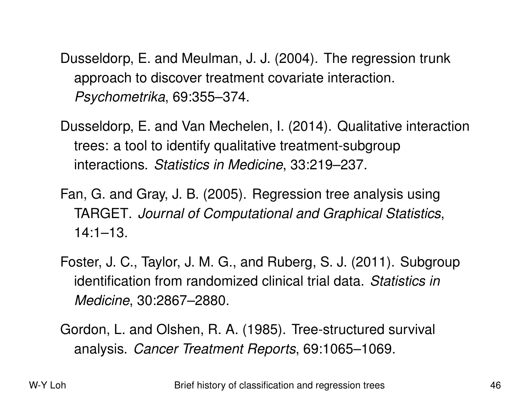Dusseldorp, E. and Meulman, J. J. (2004). The regression trunk approach to discover treatment covariate interaction. *Psychometrika*, 69:355–374.

Dusseldorp, E. and Van Mechelen, I. (2014). Qualitative interaction trees: <sup>a</sup> tool to identify qualitative treatment-subgroup interactions. *Statistics in Medicine*, 33:219–237.

Fan, G. and Gray, J. B. (2005). Regression tree analysis usin g TARGET. *Journal of Computational and Graphical Statistics*, 14:1–13.

Foster, J. C., Taylor, J. M. G., and Ruberg, S. J. (2011). Subgroup identification from randomized clinical trial data. *Statistics in Medicine*, 30:2867–2880.

Gordon, L. and Olshen, R. A. (1985). Tree-structured survival analysis. *Cancer Treatment Reports*, 69:1065–1069.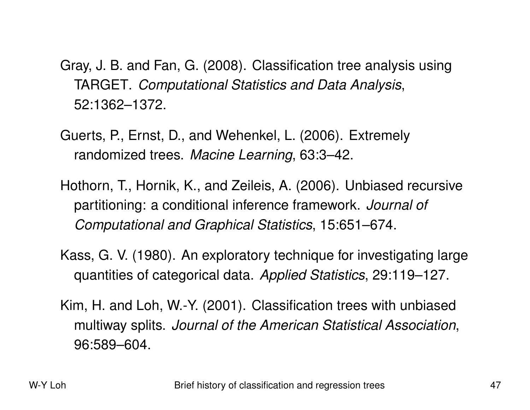- Gray, J. B. and Fan, G. (2008). Classification tree analysis using TARGET. *Computational Statistics and Data Analysis*, 52:1362–1372.
- Guerts, P., Ernst, D., and Wehenkel, L. (2006). Extremely randomized trees. *Macine Learning*, 63:3–42.
- Hothorn, T., Hornik, K., and Zeileis, A. (2006). Unbiased recursive partitioning: <sup>a</sup> conditional inference framework. *Journal of Computational and Graphical Statistics*, 15:651–674.
- Kass, G. V. (1980). An exploratory technique for investigating large quantities of categorical data. *Applied Statistics*, 29:119–127.
- Kim, H. and Loh, W.-Y. (2001). Classification trees with unbiased multiway splits. *Journal of the American Statistical Association*, 96:589–604.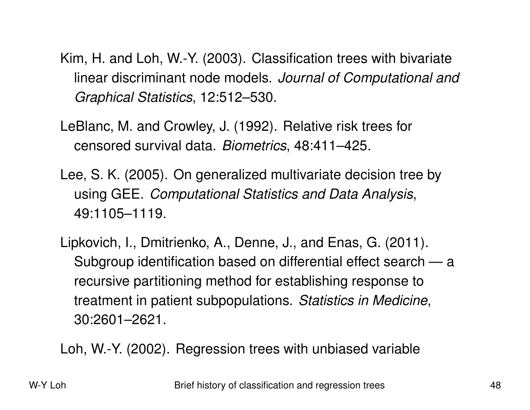Kim, H. and Loh, W.-Y. (2003). Classification trees with bivariate linear discriminant node models. *Journal of Computational and Graphical Statistics*, 12:512–530.

LeBlanc, M. and Crowley, J. (1992). Relative risk trees for censored survival data. *Biometrics*, 48:411–425.

- Lee, S. K. (2005). On generalized multivariate decision tree by using GEE. *Computational Statistics and Data Analysis*, 49:1105–1119.
- Lipkovich, I., Dmitrienko, A., Denne, J., and Enas, G. (2011). Subgroup identification based on differential effect search — <sup>a</sup> recursive partitioning method for establishing response t o treatment in patient subpopulations. *Statistics in Medicine*, 30:2601–2621.

Loh, W.-Y. (2002). Regression trees with unbiased variable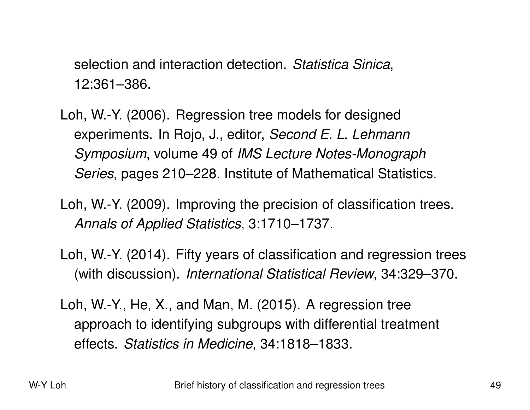selection and interaction detection. *Statistica Sinica*, 12:361–386.

- Loh, W.-Y. (2006). Regression tree models for designed experiments. In Rojo, J., editor, *Second E. L. Lehmann Symposium*, volume 49 of *IMS Lecture Notes-Monograph Series*, pages 210–228. Institute of Mathematical Statistics.
- Loh, W.-Y. (2009). Improving the precision of classification trees. *Annals of Applied Statistics*, 3:1710–1737.
- Loh, W.-Y. (2014). Fifty years of classification and regression trees (with discussion). *International Statistical Review*, 34:329–370.
- Loh, W.-Y., He, X., and Man, M. (2015). A regression tree approach to identifying subgroups with differential treatment effects. *Statistics in Medicine*, 34:1818–1833.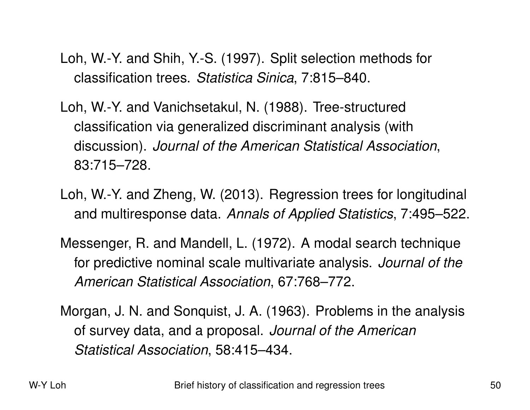- Loh, W.-Y. and Shih, Y.-S. (1997). Split selection methods for classification trees. *Statistica Sinica*, 7:815–840.
- Loh, W.-Y. and Vanichsetakul, N. (1988). Tree-structured classification via generalized discriminant analysis (wit h discussion). *Journal of the American Statistical Association*, 83:715–728.
- Loh, W.-Y. and Zheng, W. (2013). Regression trees for longitudinal and multiresponse data. *Annals of Applied Statistics*, 7:495–522.
- Messenger, R. and Mandell, L. (1972). A modal search technique for predictive nominal scale multivariate analysis. *Journal of the American Statistical Association*, 67:768–772.
- Morgan, J. N. and Sonquist, J. A. (1963). Problems in the analysis of survey data, and <sup>a</sup> proposal. *Journal of the American Statistical Association*, 58:415–434.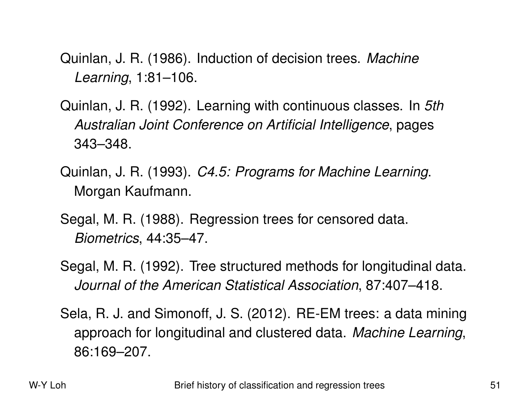Quinlan, J. R. (1986). Induction of decision trees. *Machine Learning*, 1:81–106.

- Quinlan, J. R. (1992). Learning with continuous classes. In *5th Australian Joint Conference on Artificial Intelligence*, pages 343–348.
- Quinlan, J. R. (1993). *C4.5: Programs for Machine Learning*. Morgan Kaufmann.
- Segal, M. R. (1988). Regression trees for censored data. *Biometrics*, 44:35–47.
- Segal, M. R. (1992). Tree structured methods for longitudinal data. *Journal of the American Statistical Association*, 87:407–418.
- Sela, R. J. and Simonoff, J. S. (2012). RE-EM trees: <sup>a</sup> data mining approach for longitudinal and clustered data. *Machine Learning*, 86:169–207.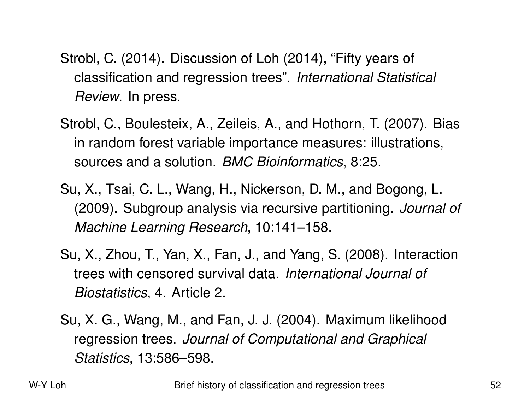- Strobl, C. (2014). Discussion of Loh (2014), "Fifty years of classification and regression trees". *International Statistical Review*. In press.
- Strobl, C., Boulesteix, A., Zeileis, A., and Hothorn, T. (2007). Bias in random forest variable importance measures: illustrations, sources and <sup>a</sup> solution. *BMC Bioinformatics*, 8:25.
- Su, X., Tsai, C. L., Wang, H., Nickerson, D. M., and Bogong, L. (2009). Subgroup analysis via recursive partitioning. *Journal of Machine Learning Research*, 10:141–158.
- Su, X., Zhou, T., Yan, X., Fan, J., and Yang, S. (2008). Interaction trees with censored survival data. *International Journal of Biostatistics*, 4. Article 2.
- Su, X. G., Wang, M., and Fan, J. J. (2004). Maximum likelihood regression trees. *Journal of Computational and Graphical Statistics*, 13:586–598.